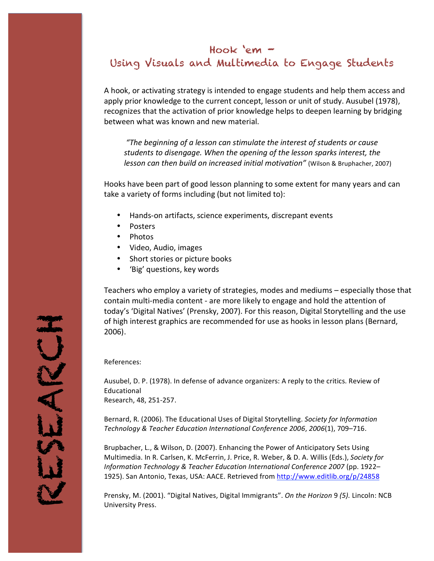### Hook 'em –

## Using Visuals and Multimedia to Engage Students

A hook, or activating strategy is intended to engage students and help them access and apply prior knowledge to the current concept, lesson or unit of study. Ausubel (1978), recognizes that the activation of prior knowledge helps to deepen learning by bridging between what was known and new material.

*"The beginning of a lesson can stimulate the interest of students or cause* students to disengage. When the opening of the lesson sparks interest, the *lesson can then build on increased initial motivation"* (Wilson & Bruphacher, 2007)

Hooks have been part of good lesson planning to some extent for many years and can take a variety of forms including (but not limited to):

- Hands-on artifacts, science experiments, discrepant events
- Posters
- Photos
- Video, Audio, images
- Short stories or picture books
- 'Big' questions, key words

Teachers who employ a variety of strategies, modes and mediums – especially those that contain multi-media content - are more likely to engage and hold the attention of today's 'Digital Natives' (Prensky, 2007). For this reason, Digital Storytelling and the use of high interest graphics are recommended for use as hooks in lesson plans (Bernard, 2006).

References:

Ausubel, D. P. (1978). In defense of advance organizers: A reply to the critics. Review of Educational Research, 48, 251-257.

Bernard, R. (2006). The Educational Uses of Digital Storytelling. Society for Information *Technology & Teacher Education International Conference 2006*, *2006*(1), 709–716.

Brupbacher, L., & Wilson, D. (2007). Enhancing the Power of Anticipatory Sets Using Multimedia. In R. Carlsen, K. McFerrin, J. Price, R. Weber, & D. A. Willis (Eds.), *Society for Information Technology & Teacher Education International Conference 2007* (pp. 1922– 1925). San Antonio, Texas, USA: AACE. Retrieved from <http://www.editlib.org/p/24858>

Prensky, M. (2001). "Digital Natives, Digital Immigrants". *On the Horizon* 9 (5). Lincoln: NCB University Press.